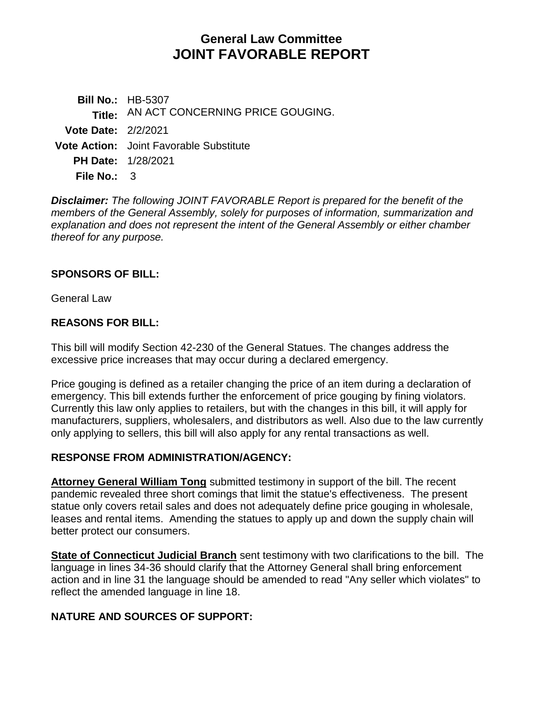# **General Law Committee JOINT FAVORABLE REPORT**

**Bill No.:** HB-5307 **Title:** AN ACT CONCERNING PRICE GOUGING. **Vote Date:** 2/2/2021 **Vote Action:** Joint Favorable Substitute **PH Date:** 1/28/2021 **File No.:** 3

*Disclaimer: The following JOINT FAVORABLE Report is prepared for the benefit of the members of the General Assembly, solely for purposes of information, summarization and explanation and does not represent the intent of the General Assembly or either chamber thereof for any purpose.*

# **SPONSORS OF BILL:**

General Law

# **REASONS FOR BILL:**

This bill will modify Section 42-230 of the General Statues. The changes address the excessive price increases that may occur during a declared emergency.

Price gouging is defined as a retailer changing the price of an item during a declaration of emergency. This bill extends further the enforcement of price gouging by fining violators. Currently this law only applies to retailers, but with the changes in this bill, it will apply for manufacturers, suppliers, wholesalers, and distributors as well. Also due to the law currently only applying to sellers, this bill will also apply for any rental transactions as well.

#### **RESPONSE FROM ADMINISTRATION/AGENCY:**

**Attorney General William Tong** submitted testimony in support of the bill. The recent pandemic revealed three short comings that limit the statue's effectiveness. The present statue only covers retail sales and does not adequately define price gouging in wholesale, leases and rental items. Amending the statues to apply up and down the supply chain will better protect our consumers.

**State of Connecticut Judicial Branch** sent testimony with two clarifications to the bill. The language in lines 34-36 should clarify that the Attorney General shall bring enforcement action and in line 31 the language should be amended to read "Any seller which violates" to reflect the amended language in line 18.

# **NATURE AND SOURCES OF SUPPORT:**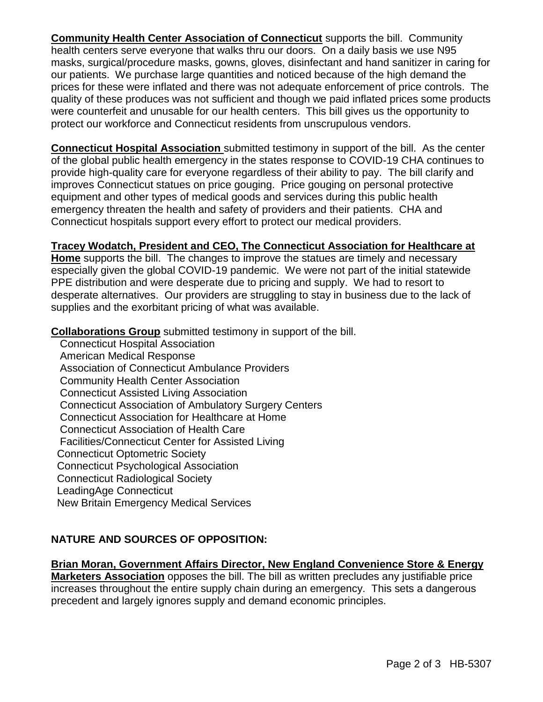**Community Health Center Association of Connecticut** supports the bill. Community health centers serve everyone that walks thru our doors. On a daily basis we use N95 masks, surgical/procedure masks, gowns, gloves, disinfectant and hand sanitizer in caring for our patients. We purchase large quantities and noticed because of the high demand the prices for these were inflated and there was not adequate enforcement of price controls. The quality of these produces was not sufficient and though we paid inflated prices some products were counterfeit and unusable for our health centers. This bill gives us the opportunity to protect our workforce and Connecticut residents from unscrupulous vendors.

**Connecticut Hospital Association** submitted testimony in support of the bill. As the center of the global public health emergency in the states response to COVID-19 CHA continues to provide high-quality care for everyone regardless of their ability to pay. The bill clarify and improves Connecticut statues on price gouging. Price gouging on personal protective equipment and other types of medical goods and services during this public health emergency threaten the health and safety of providers and their patients. CHA and Connecticut hospitals support every effort to protect our medical providers.

# **Tracey Wodatch, President and CEO, The Connecticut Association for Healthcare at**

**Home** supports the bill. The changes to improve the statues are timely and necessary especially given the global COVID-19 pandemic. We were not part of the initial statewide PPE distribution and were desperate due to pricing and supply. We had to resort to desperate alternatives. Our providers are struggling to stay in business due to the lack of supplies and the exorbitant pricing of what was available.

**Collaborations Group** submitted testimony in support of the bill.

 Connecticut Hospital Association American Medical Response Association of Connecticut Ambulance Providers Community Health Center Association Connecticut Assisted Living Association Connecticut Association of Ambulatory Surgery Centers Connecticut Association for Healthcare at Home Connecticut Association of Health Care Facilities/Connecticut Center for Assisted Living Connecticut Optometric Society Connecticut Psychological Association Connecticut Radiological Society LeadingAge Connecticut New Britain Emergency Medical Services

# **NATURE AND SOURCES OF OPPOSITION:**

**Brian Moran, Government Affairs Director, New England Convenience Store & Energy Marketers Association** opposes the bill. The bill as written precludes any justifiable price increases throughout the entire supply chain during an emergency. This sets a dangerous precedent and largely ignores supply and demand economic principles.